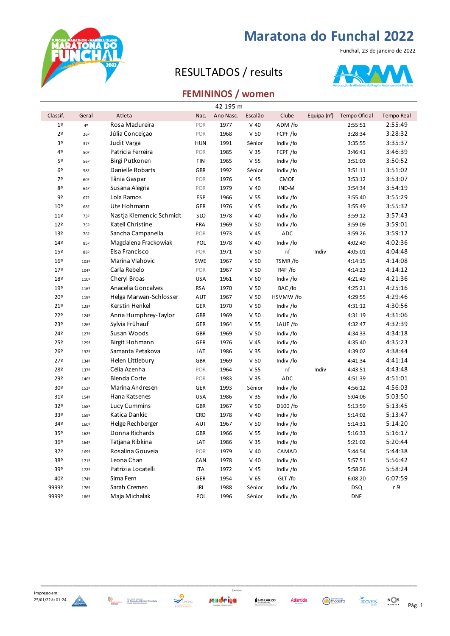

### RESULTADOS / results

**RATONAD**<br>RATONAD



### **FEMININOS / women**

|                 |       |                          |            | 42 195 m  |                 |             |             |               |                   |
|-----------------|-------|--------------------------|------------|-----------|-----------------|-------------|-------------|---------------|-------------------|
| Classif.        | Geral | Atleta                   | Nac.       | Ano Nasc. | Escalão         | Clube       | Equipa (nf) | Tempo Oficial | <b>Tempo Real</b> |
| 1 <sup>°</sup>  | 4º    | Rosa Madureira           | POR        | 1977      | $V$ 40          | ADM /fo     |             | 2:55:51       | 2:55:49           |
| 2º              | 26º   | Júlia Conceiçao          | POR        | 1968      | V <sub>50</sub> | FCPF /fo    |             | 3:28:34       | 3:28:32           |
| 30              | 37º   | Judit Varga              | <b>HUN</b> | 1991      | Sénior          | Indiv /fo   |             | 3:35:55       | 3:35:37           |
| 4º              | 50º   | Patricia Ferreira        | POR        | 1985      | V <sub>35</sub> | FCPF /fo    |             | 3:46:41       | 3:46:39           |
| 5º              | 56º   | Birgi Putkonen           | FIN        | 1965      | V <sub>55</sub> | Indiv /fo   |             | 3:51:03       | 3:50:52           |
| 6º              | 58º   | Danielle Robarts         | GBR        | 1992      | Sénior          | Indiv /fo   |             | 3:51:11       | 3:51:02           |
| 7º              | 60º   | Tânia Gaspar             | POR        | 1976      | $V$ 45          | <b>CMOF</b> |             | 3:53:12       | 3:53:07           |
| 80              | 64º   | Susana Alegria           | POR        | 1979      | $V$ 40          | IND-M       |             | 3:54:34       | 3:54:19           |
| 9º              | 67º   | Lola Ramos               | <b>ESP</b> | 1966      | V <sub>55</sub> | Indiv /fo   |             | 3:55:40       | 3:55:29           |
| 10º             | 68º   | Ute Hohmann              | <b>GER</b> | 1976      | $V$ 45          | Indiv /fo   |             | 3:55:49       | 3:55:32           |
| 11 <sup>°</sup> | 73º   | Nastja Klemencic Schmidt | <b>SLO</b> | 1978      | $V$ 40          | Indiv /fo   |             | 3:59:12       | 3:57:43           |
| 12º             | 75º   | Katell Christine         | FRA        | 1969      | V <sub>50</sub> | Indiv /fo   |             | 3:59:09       | 3:59:01           |
| 13º             | 76º   | Sancha Campanella        | POR        | 1973      | $V$ 45          | ADC         |             | 3:59:26       | 3:59:12           |
| $14^{\circ}$    | 85º   | Magdalena Frackowiak     | <b>POL</b> | 1978      | $V$ 40          | Indiv /fo   |             | 4:02:49       | 4:02:36           |
| 15º             | 88º   | Elsa Francisco           | POR        | 1971      | V <sub>50</sub> | nf          | Indiv       | 4:05:01       | 4:04:48           |
| 16º             | 103º  | Marina Vlahovic          | SWE        | 1967      | V <sub>50</sub> | TSMR/fo     |             | 4:14:15       | 4:14:08           |
| 17 <sup>°</sup> | 1049  | Carla Rebelo             | POR        | 1967      | V <sub>50</sub> | R4F /fo     |             | 4:14:23       | 4:14:12           |
| 18º             | 110º  | Cheryl Broas             | <b>USA</b> | 1961      | V <sub>60</sub> | Indiv /fo   |             | 4:21:49       | 4:21:36           |
| 19º             | 116º  | Anacelia Goncalves       | <b>RSA</b> | 1970      | V <sub>50</sub> | BAC/fo      |             | 4:25:21       | 4:25:16           |
| 20º             | 119º  | Helga Marwan-Schlosser   | AUT        | 1967      | V <sub>50</sub> | HSVMW/fo    |             | 4:29:55       | 4:29:46           |
| 21°             | 123º  | Kerstin Henkel           | <b>GER</b> | 1970      | V <sub>50</sub> | Indiv /fo   |             | 4:31:12       | 4:30:56           |
| 22º             | 1249  | Anna Humphrey-Taylor     | <b>GBR</b> | 1969      | V <sub>50</sub> | Indiv /fo   |             | 4:31:19       | 4:31:06           |
| 23º             | 126º  | Sylvia Frühauf           | <b>GER</b> | 1964      | V <sub>55</sub> | LAUF /fo    |             | 4:32:47       | 4:32:39           |
| 24º             | 127º  | Susan Woods              | <b>GBR</b> | 1969      | V <sub>50</sub> | Indiv /fo   |             | 4:34:33       | 4:34:18           |
| 25º             | 129º  | <b>Birgit Hohmann</b>    | GER        | 1976      | V 45            | Indiv /fo   |             | 4:35:40       | 4:35:23           |
| 26º             | 132º  | Samanta Petakova         | LAT        | 1986      | V <sub>35</sub> | Indiv /fo   |             | 4:39:02       | 4:38:44           |
| 27º             | 1349  | Helen Littlebury         | <b>GBR</b> | 1969      | V <sub>50</sub> | Indiv /fo   |             | 4:41:34       | 4:41:14           |
| 28º             | 137º  | Célia Azenha             | POR        | 1964      | V <sub>55</sub> | nf          | Indiv       | 4:43:51       | 4:43:48           |
| 29º             | 1469  | <b>Blenda Corte</b>      | POR        | 1983      | V <sub>35</sub> | ADC         |             | 4:51:39       | 4:51:01           |
| 30 <sup>o</sup> | 152º  | Marina Andresen          | <b>GER</b> | 1993      | Sénior          | Indiv /fo   |             | 4:56:12       | 4:56:03           |
| 31º             | 1549  | Hana Katsenes            | <b>USA</b> | 1986      | V <sub>35</sub> | Indiv /fo   |             | 5:04:06       | 5:03:50           |
| 32º             | 158º  | <b>Lucy Cummins</b>      | <b>GBR</b> | 1967      | V <sub>50</sub> | D100 /fo    |             | 5:13:59       | 5:13:45           |
| 33º             | 159º  | Katica Dankic            | CRO        | 1978      | $V$ 40          | Indiv /fo   |             | 5:14:02       | 5:13:47           |
| 34º             | 160º  | Helge Rechberger         | AUT        | 1967      | V <sub>50</sub> | Indiv /fo   |             | 5:14:31       | 5:14:20           |
| 35 <sup>o</sup> | 162º  | Donna Richards           | <b>GBR</b> | 1966      | V <sub>55</sub> | Indiv /fo   |             | 5:16:33       | 5:16:17           |
| 36º             | 1649  | Tatjana Ribkina          | LAT        | 1986      | V <sub>35</sub> | Indiv /fo   |             | 5:21:02       | 5:20:44           |
| 37º             | 169º  | Rosalina Gouveia         | POR        | 1979      | $V$ 40          | CAMAD       |             | 5:44:54       | 5:44:38           |
| 38º             | 171º  | Leona Chan               | CAN        | 1978      | $V$ 40          | Indiv /fo   |             | 5:57:51       | 5:56:42           |
| 39º             | 172º  | Patrizia Locatelli       | ITA        | 1972      | V 45            | Indiv /fo   |             | 5:58:26       | 5:58:24           |
| 40º             | 1749  | Sima Fern                | <b>GER</b> | 1954      | V <sub>65</sub> | GLT/fo      |             | 6:08:20       | 6:07:59           |
| 9999º           | 178º  | Sarah Cremen             | <b>IRL</b> | 1988      | Sénior          | Indiv /fo   |             | <b>DSQ</b>    | r.9               |
| 9999º           | 186º  | Maja Michalak            | POL        | 1996      | Sénior          | Indiv /fo   |             | <b>DNF</b>    |                   |





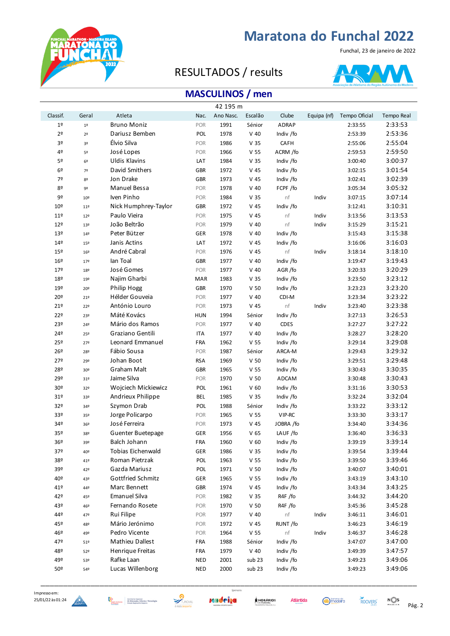

### RESULTADOS / results



### **MASCULINOS / men**

|                |                 |                      |            | 42 195 m  |                 |              |             |               |            |
|----------------|-----------------|----------------------|------------|-----------|-----------------|--------------|-------------|---------------|------------|
| Classif.       | Geral           | Atleta               | Nac.       | Ano Nasc. | Escalão         | Clube        | Equipa (nf) | Tempo Oficial | Tempo Real |
| 1 <sup>°</sup> | $1^{\circ}$     | <b>Bruno Moniz</b>   | POR        | 1991      | Sénior          | <b>ADRAP</b> |             | 2:33:55       | 2:33:53    |
| 2 <sup>o</sup> | 2 <sup>o</sup>  | Dariusz Bemben       | POL        | 1978      | $V$ 40          | Indiv /fo    |             | 2:53:39       | 2:53:36    |
| 3º             | 3º              | Élvio Silva          | POR        | 1986      | V <sub>35</sub> | CAFH         |             | 2:55:06       | 2:55:04    |
| 4º             | 5º              | José Lopes           | POR        | 1966      | V <sub>55</sub> | ACRM /fo     |             | 2:59:53       | 2:59:50    |
| 5º             | 6 <sup>°</sup>  | <b>Uldis Klavins</b> | LAT        | 1984      | V <sub>35</sub> | Indiv /fo    |             | 3:00:40       | 3:00:37    |
| 6º             | 7º              | David Smithers       | GBR        | 1972      | $V$ 45          | Indiv /fo    |             | 3:02:15       | 3:01:54    |
| 7º             | 82              | Jon Drake            | <b>GBR</b> | 1973      | V <sub>45</sub> | Indiv /fo    |             | 3:02:41       | 3:02:39    |
| 82             | 9º              | Manuel Bessa         | <b>POR</b> | 1978      | $V$ 40          | FCPF /fo     |             | 3:05:34       | 3:05:32    |
| 9º             | 10 <sup>°</sup> | Iven Pinho           | <b>POR</b> | 1984      | V <sub>35</sub> | nf           | Indiv       | 3:07:15       | 3:07:14    |
| 10º            | 11º             | Nick Humphrey-Taylor | GBR        | 1972      | $V$ 45          | Indiv /fo    |             | 3:12:41       | 3:10:31    |
| 11º            | 12 <sup>°</sup> | Paulo Vieira         | <b>POR</b> | 1975      | $V$ 45          | nf           | Indiv       | 3:13:56       | 3:13:53    |
| 12º            | 13º             | João Beltrão         | <b>POR</b> | 1979      | $V$ 40          | nf           | Indiv       | 3:15:29       | 3:15:21    |
| 13º            | 149             | Peter Bützer         | <b>GER</b> | 1978      | $V$ 40          | Indiv /fo    |             | 3:15:43       | 3:15:38    |
| 14º            | 15 <sup>°</sup> | Janis Actins         | LAT        | 1972      | $V$ 45          | Indiv /fo    |             | 3:16:06       | 3:16:03    |
| 15º            | 169             | André Cabral         | POR        | 1976      | $V$ 45          | nf           | Indiv       | 3:18:14       | 3:18:10    |
| 16º            | 179             | lan Toal             | <b>GBR</b> | 1977      | $V$ 40          | Indiv /fo    |             | 3:19:47       | 3:19:43    |
| 17º            | 18º             | José Gomes           | POR        | 1977      | $V$ 40          | AGR/fo       |             | 3:20:33       | 3:20:29    |
| 18º            | 192             | Najim Gharbi         | <b>MAR</b> | 1983      | V <sub>35</sub> | Indiv /fo    |             | 3:23:50       | 3:23:12    |
| 19º            | 20º             | Philip Hogg          | <b>GBR</b> | 1970      | V <sub>50</sub> | Indiv /fo    |             | 3:23:23       | 3:23:20    |
| 20º            | 21º             | Hélder Gouveia       | <b>POR</b> | 1977      | $V$ 40          | CDI-M        |             | 3:23:34       | 3:23:22    |
| 21º            | 22º             | António Louro        | POR        | 1973      | V 45            | nf           | Indiv       | 3:23:40       | 3:23:38    |
| 22º            | 23º             | Máté Kovács          | <b>HUN</b> | 1994      | Sénior          | Indiv /fo    |             | 3:27:13       | 3:26:53    |
| 23º            | 24º             | Mário dos Ramos      | <b>POR</b> | 1977      | $V$ 40          | <b>CDES</b>  |             | 3:27:27       | 3:27:22    |
| 24º            | 25º             | Graziano Gentili     | <b>ITA</b> | 1977      | $V$ 40          | Indiv /fo    |             | 3:28:27       | 3:28:20    |
| 25º            | 27º             | Leonard Emmanuel     | FRA        | 1962      | V <sub>55</sub> | Indiv /fo    |             | 3:29:14       | 3:29:08    |
| 26º            | 28º             | Fábio Sousa          | POR        | 1987      | Sénior          | ARCA-M       |             | 3:29:43       | 3:29:32    |
| 27º            | 29º             | Johan Boot           | <b>RSA</b> | 1969      | V <sub>50</sub> | Indiv /fo    |             | 3:29:51       | 3:29:48    |
| 28º            | 30º             | <b>Graham Malt</b>   | <b>GBR</b> | 1965      | V <sub>55</sub> | Indiv /fo    |             | 3:30:43       | 3:30:35    |
| 29º            | 31º             | Jaime Silva          | POR        | 1970      | V <sub>50</sub> | ADCAM        |             | 3:30:48       | 3:30:43    |
| 30º            | 32º             | Wojciech Mickiewicz  | POL        | 1961      | V <sub>60</sub> | Indiv /fo    |             | 3:31:16       | 3:30:53    |
| 31º            | 33º             | Andrieux Philippe    | <b>BEL</b> | 1985      | V <sub>35</sub> | Indiv /fo    |             | 3:32:24       | 3:32:04    |
| 32º            | 34º             | Szymon Drab          | <b>POL</b> | 1988      | Sénior          | Indiv /fo    |             | 3:33:22       | 3:33:12    |
| 33º            | 35º             | Jorge Policarpo      | POR        | 1965      | V <sub>55</sub> | VIP-RC       |             | 3:33:30       | 3:33:17    |
| 34º            | 36º             | José Ferreira        | POR        | 1973      | $V$ 45          | JOBRA /fo    |             | 3:34:40       | 3:34:36    |
| 35º            | 38º             | Guenter Buetepage    | GER        | 1956      | V <sub>65</sub> | LAUF /fo     |             | 3:36:40       | 3:36:33    |
| 36º            | 39º             | Balch Johann         | FRA        | 1960      | V <sub>60</sub> | Indiv /fo    |             | 3:39:19       | 3:39:14    |
| 37º            | 40º             | Tobias Eichenwald    | GER        | 1986      | V <sub>35</sub> | Indiv /fo    |             | 3:39:54       | 3:39:44    |
| 38º            | 41º             | Roman Pietrzak       | POL        | 1963      | V <sub>55</sub> | Indiv /fo    |             | 3:39:50       | 3:39:46    |
| 39º            | 42º             | Gazda Mariusz        | POL        | 1971      | V <sub>50</sub> | Indiv /fo    |             | 3:40:07       | 3:40:01    |
| 40º            | 43º             | Gottfried Schmitz    | GER        | 1965      | V <sub>55</sub> | Indiv /fo    |             | 3:43:19       | 3:43:10    |
| 41º            | 44º             | Marc Bennett         | <b>GBR</b> | 1974      | $V$ 45          | Indiv /fo    |             | 3:43:34       | 3:43:25    |
| 42º            | 45º             | <b>Emanuel Silva</b> | POR        | 1982      | V <sub>35</sub> | R4F /fo      |             | 3:44:32       | 3:44:20    |
| 43º            | 46º             | Fernando Rosete      | POR        | 1970      | V <sub>50</sub> | R4F /fo      |             | 3:45:36       | 3:45:28    |
| 44º            | 47º             | Rui Filipe           | POR        | 1977      | $V$ 40          | nf           | Indiv       | 3:46:11       | 3:46:01    |
| 45º            | 48º             | Mário Jerónimo       | POR        | 1972      | V 45            | RUNT /fo     |             | 3:46:23       | 3:46:19    |
| 46º            | 49º             | Pedro Vicente        | POR        | 1964      | V <sub>55</sub> | nf           | Indiv       | 3:46:37       | 3:46:28    |
| 47º            | 51º             | Mathieu Dallest      | FRA        | 1988      | Sénior          | Indiv /fo    |             | 3:47:07       | 3:47:00    |
| 48º            | 52º             | Henrique Freitas     | FRA        | 1979      | $V$ 40          | Indiv /fo    |             | 3:49:39       | 3:47:57    |
| 49º            | 53º             | Rafke Laan           | <b>NED</b> | 2001      | sub 23          | Indiv /fo    |             | 3:49:23       | 3:49:06    |
| 50º            | 54º             | Lucas Willenborg     | <b>NED</b> | 2000      | sub 23          | Indiv /fo    |             | 3:49:23       | 3:49:06    |
|                |                 |                      |            |           |                 |              |             |               |            |



**ONAD** 



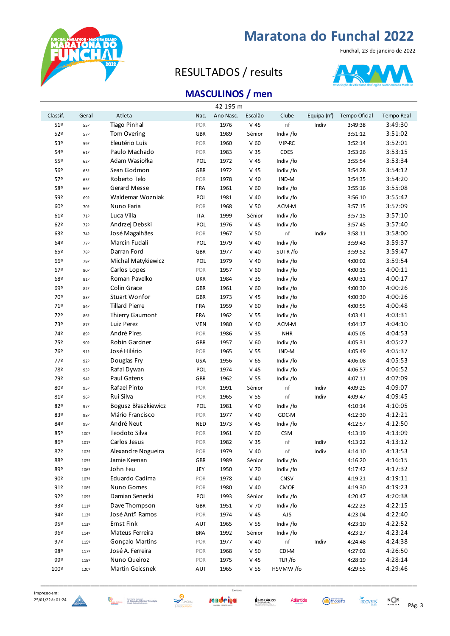

Funchal, 23 de janeiro de 2022

### RESULTADOS / results



### **MASCULINOS / men**

|                 |                 |                             |            | 42 195 m  |                 |             |             |               |            |
|-----------------|-----------------|-----------------------------|------------|-----------|-----------------|-------------|-------------|---------------|------------|
| Classif.        | Geral           | Atleta                      | Nac.       | Ano Nasc. | Escalão         | Clube       | Equipa (nf) | Tempo Oficial | Tempo Real |
| 51º             | 55º             | <b>Tiago Pinhal</b>         | POR        | 1976      | $V$ 45          | nf          | Indiv       | 3:49:38       | 3:49:30    |
| 52º             | 57º             | Tom Overing                 | <b>GBR</b> | 1989      | Sénior          | Indiv /fo   |             | 3:51:12       | 3:51:02    |
| 53º             | 59º             | Eleutério Luís              | POR        | 1960      | V <sub>60</sub> | VIP-RC      |             | 3:52:14       | 3:52:01    |
| 54º             | 61º             | Paulo Machado               | POR        | 1983      | V <sub>35</sub> | <b>CDES</b> |             | 3:53:26       | 3:53:15    |
| 55º             | 62º             | Adam Wasiołka               | POL        | 1972      | $V$ 45          | Indiv /fo   |             | 3:55:54       | 3:53:34    |
| 56º             | 63º             | Sean Godmon                 | <b>GBR</b> | 1972      | $V$ 45          | Indiv /fo   |             | 3:54:28       | 3:54:12    |
| 57º             | 65º             | Roberto Telo                | POR        | 1978      | $V$ 40          | IND-M       |             | 3:54:35       | 3:54:20    |
| 58º             | 66º             | Gerard Messe                | FRA        | 1961      | V <sub>60</sub> | Indiv /fo   |             | 3:55:16       | 3:55:08    |
| 59º             | 69º             | Waldemar Wozniak            | POL        | 1981      | $V$ 40          | Indiv /fo   |             | 3:56:10       | 3:55:42    |
| 60º             | 70º             | Nuno Faria                  | <b>POR</b> | 1968      | V 50            | ACM-M       |             | 3:57:15       | 3:57:09    |
| 61º             | 71º             | Luca Villa                  | <b>ITA</b> | 1999      | Sénior          | Indiv /fo   |             | 3:57:15       | 3:57:10    |
| 62°             | 72º             | Andrzej Debski              | POL        | 1976      | $V$ 45          | Indiv /fo   |             | 3:57:45       | 3:57:40    |
| 63º             | 74º             | José Magalhães              | POR        | 1967      | V <sub>50</sub> | nf          | Indiv       | 3:58:11       | 3:58:00    |
| 64º             | 77º             | Marcin Fudali               | POL        | 1979      | $V$ 40          | Indiv /fo   |             | 3:59:43       | 3:59:37    |
| 65º             | 78º             | Darran Ford                 | <b>GBR</b> | 1977      | $V$ 40          | SUTR/fo     |             | 3:59:52       | 3:59:47    |
| 66º             | 79º             | Michal Matykiewicz          | POL        | 1979      | $V$ 40          | Indiv /fo   |             | 4:00:02       | 3:59:54    |
| 67º             | 80º             | Carlos Lopes                | POR        | 1957      | V <sub>60</sub> | Indiv /fo   |             | 4:00:15       | 4:00:11    |
| 68º             | 81º             | Roman Pavelko               | <b>UKR</b> | 1984      | V <sub>35</sub> | Indiv /fo   |             | 4:00:31       | 4:00:17    |
| 69º             | 82º             | Colin Grace                 | <b>GBR</b> | 1961      | V <sub>60</sub> | Indiv /fo   |             | 4:00:30       | 4:00:26    |
| 70º             | 83º             | Stuart Wonfor               | <b>GBR</b> | 1973      | $V$ 45          | Indiv /fo   |             | 4:00:30       | 4:00:26    |
| 71º             | 84º             | <b>Tillard Pierre</b>       | FRA        | 1959      | V <sub>60</sub> | Indiv /fo   |             | 4:00:55       | 4:00:48    |
| 72º             | 86º             | Thierry Gaumont             | FRA        | 1962      | V <sub>55</sub> | Indiv /fo   |             | 4:03:41       | 4:03:31    |
| 73º             | 87º             | Luiz Perez                  | <b>VEN</b> | 1980      | $V$ 40          | ACM-M       |             | 4:04:17       | 4:04:10    |
| 74º             | 89º             | André Pires                 | POR        | 1986      | V <sub>35</sub> | <b>NHR</b>  |             | 4:05:05       | 4:04:53    |
| 75º             | 90 <sup>°</sup> | Robin Gardner               | <b>GBR</b> | 1957      | V <sub>60</sub> | Indiv /fo   |             | 4:05:31       | 4:05:22    |
| 76º             | 91º             | José Hilário                | POR        | 1965      | V <sub>55</sub> | IND-M       |             | 4:05:49       | 4:05:37    |
| 77º             | 92º             | Douglas Fry                 | <b>USA</b> | 1956      | V <sub>65</sub> | Indiv /fo   |             | 4:06:08       | 4:05:53    |
| 78º             | 93º             | Rafal Dywan                 | POL        | 1974      | $V$ 45          | Indiv /fo   |             | 4:06:57       | 4:06:52    |
| 79º             | 94º             | Paul Gatens                 | <b>GBR</b> | 1962      | V <sub>55</sub> | Indiv /fo   |             | 4:07:11       | 4:07:09    |
| 80º             | 95º             | Rafael Pinto                | POR        | 1991      | Sénior          | nf          | Indiv       | 4:09:25       | 4:09:07    |
| 81º             | 96º             | Rui Silva                   | POR        | 1965      | V <sub>55</sub> | nf          | Indiv       | 4:09:47       | 4:09:45    |
| 82º             | 97º             | Bogusz Błaszkiewicz         | POL        | 1981      | $V$ 40          | Indiv /fo   |             | 4:10:14       | 4:10:05    |
| 83º             | 98º             | Mário Francisco             | POR        | 1977      | $V$ 40          | GDC-M       |             | 4:12:30       | 4:12:21    |
| 84º             | 99º             | André Neut                  | <b>NED</b> | 1973      | $V$ 45          | Indiv /fo   |             | 4:12:57       | 4:12:50    |
| 85º             | 100º            | Teodoto Silva               | POR        | 1961      | V <sub>60</sub> | <b>CSM</b>  |             | 4:13:19       | 4:13:09    |
| 86º             | 101º            | Carlos Jesus                | POR        | 1982      | V <sub>35</sub> | $\sf nf$    | Indiv       | 4:13:22       | 4:13:12    |
| 87º             | 102º            | Alexandre Nogueira          | POR        | 1979      | $V$ 40          | nf          | Indiv       | 4:14:10       | 4:13:53    |
| 88º             | 105º            | Jamie Keenan                | <b>GBR</b> | 1989      | Sénior          | Indiv /fo   |             | 4:16:20       | 4:16:15    |
| 89º             | 106º            | John Feu                    | JEY        | 1950      | V 70            | Indiv /fo   |             | 4:17:42       | 4:17:32    |
| 90 <sup>°</sup> | 107º            | Eduardo Cadima              | POR        | 1978      | $V$ 40          | CNSV        |             | 4:19:21       | 4:19:11    |
| 91º             | 108º            | Nuno Gomes                  | POR        | 1980      | $V$ 40          | <b>CMOF</b> |             | 4:19:30       | 4:19:23    |
| 92º             | 109º            | Damian Senecki              | POL        | 1993      | Sénior          | Indiv /fo   |             | 4:20:47       | 4:20:38    |
| 93º             | 111º            | Dave Thompson               | <b>GBR</b> | 1951      | V 70            | Indiv /fo   |             | 4:22:23       | 4:22:15    |
| 94º             | 112º            | José Ant <sup>o</sup> Ramos | POR        | 1974      | $V$ 45          | AJS         |             | 4:23:04       | 4:22:40    |
| 95º             | 113º            | <b>Ernst Fink</b>           | AUT        | 1965      | V <sub>55</sub> | Indiv /fo   |             | 4:23:10       | 4:22:52    |
| 96º             | 114º            | Mateus Ferreira             | <b>BRA</b> | 1992      | Sénior          | Indiv /fo   |             | 4:23:27       | 4:23:24    |
| 97º             | 115º            | Gonçalo Martins             | POR        | 1977      | $V$ 40          | nf          | Indiv       | 4:24:48       | 4:24:38    |
| 98º             | 1179            | José A. Ferreira            | POR        | 1968      | V <sub>50</sub> | CDI-M       |             | 4:27:02       | 4:26:50    |
| 99º             | 118º            | Nuno Queiroz                | POR        | 1975      | $V$ 45          | TLR /fo     |             | 4:28:19       | 4:28:14    |
| 100º            | 120º            | Martin Geicsnek             | AUT        | 1965      | V <sub>55</sub> | HSVMW/fo    |             | 4:29:55       | 4:29:46    |





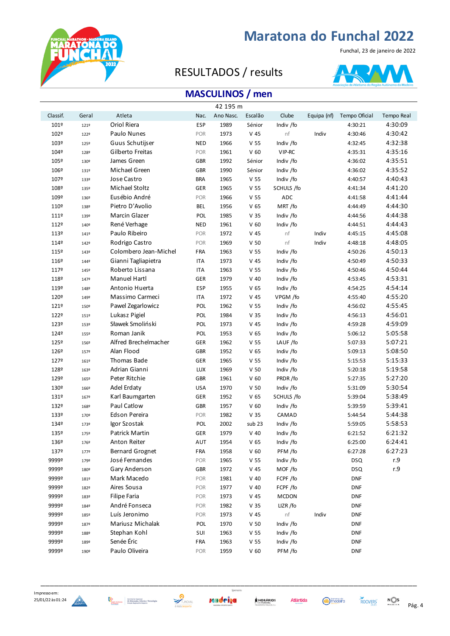

#### Funchal, 23 de janeiro de 2022

### RESULTADOS / results



### **MASCULINOS / men**

|          |       |                        |            | 42 195 m  |                 |              |             |               |                   |
|----------|-------|------------------------|------------|-----------|-----------------|--------------|-------------|---------------|-------------------|
| Classif. | Geral | Atleta                 | Nac.       | Ano Nasc. | Escalão         | Clube        | Equipa (nf) | Tempo Oficial | <b>Tempo Real</b> |
| 101º     | 121º  | Oriol Riera            | <b>ESP</b> | 1989      | Sénior          | Indiv /fo    |             | 4:30:21       | 4:30:09           |
| 102º     | 122º  | Paulo Nunes            | POR        | 1973      | $V$ 45          | nf           | Indiv       | 4:30:46       | 4:30:42           |
| 103º     | 125º  | Guus Schutijser        | <b>NED</b> | 1966      | V <sub>55</sub> | Indiv /fo    |             | 4:32:45       | 4:32:38           |
| 104º     | 128º  | Gilberto Freitas       | <b>POR</b> | 1961      | V <sub>60</sub> | VIP-RC       |             | 4:35:31       | 4:35:16           |
| 105º     | 130º  | James Green            | GBR        | 1992      | Sénior          | Indiv /fo    |             | 4:36:02       | 4:35:51           |
| 106º     | 131º  | Michael Green          | GBR        | 1990      | Sénior          | Indiv /fo    |             | 4:36:02       | 4:35:52           |
| 107º     | 133º  | <b>Jose Castro</b>     | <b>BRA</b> | 1965      | V <sub>55</sub> | Indiv /fo    |             | 4:40:57       | 4:40:43           |
| 108º     | 135º  | <b>Michael Stoltz</b>  | GER        | 1965      | V <sub>55</sub> | SCHULS /fo   |             | 4:41:34       | 4:41:20           |
| 109º     | 136º  | Eusébio André          | POR        | 1966      | V <sub>55</sub> | ADC          |             | 4:41:58       | 4:41:44           |
| 110º     | 138º  | Pietro D'Avolio        | BEL        | 1956      | V <sub>65</sub> | MRT/fo       |             | 4:44:49       | 4:44:30           |
| 111º     | 139º  | Marcin Glazer          | POL        | 1985      | V <sub>35</sub> | Indiv /fo    |             | 4:44:56       | 4:44:38           |
| 112º     | 140º  | René Verhage           | <b>NED</b> | 1961      | V <sub>60</sub> | Indiv /fo    |             | 4:44:51       | 4:44:43           |
| 113º     | 141º  | Paulo Ribeiro          | POR        | 1972      | $V$ 45          | nf           | Indiv       | 4:45:15       | 4:45:08           |
| 114º     | 142º  | Rodrigo Castro         | POR        | 1969      | V 50            | nf           | Indiv       | 4:48:18       | 4:48:05           |
| 115º     | 143º  | Colombero Jean-Michel  | FRA        | 1963      | V <sub>55</sub> | Indiv /fo    |             | 4:50:26       | 4:50:13           |
| 116º     | 1449  | Gianni Tagliapietra    | <b>ITA</b> | 1973      | V <sub>45</sub> | Indiv /fo    |             | 4:50:49       | 4:50:33           |
| 1179     | 145º  | Roberto Lissana        | <b>ITA</b> | 1963      | V <sub>55</sub> | Indiv /fo    |             | 4:50:46       | 4:50:44           |
| 118º     | 147º  | <b>Manuel Hartl</b>    | GER        | 1979      | $V$ 40          | Indiv /fo    |             | 4:53:45       | 4:53:31           |
| 119º     | 148º  | Antonio Huerta         | <b>ESP</b> | 1955      | V <sub>65</sub> | Indiv /fo    |             | 4:54:25       | 4:54:14           |
| 120º     | 149º  | Massimo Carmeci        | <b>ITA</b> | 1972      | V <sub>45</sub> | VPGM /fo     |             | 4:55:40       | 4:55:20           |
| 1219     | 150º  | Pawel Zegarlowicz      | POL        | 1962      | V <sub>55</sub> | Indiv /fo    |             | 4:56:02       | 4:55:45           |
| 122º     | 151º  | Lukasz Pigiel          | <b>POL</b> | 1984      | V <sub>35</sub> | Indiv /fo    |             | 4:56:13       | 4:56:01           |
| 123º     | 153º  | Sławek Smoliński       | POL        | 1973      | V 45            | Indiv /fo    |             | 4:59:28       | 4:59:09           |
| 1249     | 155º  | Roman Janik            | POL        | 1953      | V <sub>65</sub> | Indiv /fo    |             | 5:06:12       | 5:05:58           |
| 125º     | 156º  | Alfred Brechelmacher   | GER        | 1962      | V <sub>55</sub> | LAUF /fo     |             | 5:07:33       | 5:07:21           |
| 126º     | 157º  | Alan Flood             | GBR        | 1952      | V <sub>65</sub> | Indiv /fo    |             | 5:09:13       | 5:08:50           |
| 127º     | 161º  | Thomas Bade            | GER        | 1965      | V <sub>55</sub> | Indiv /fo    |             | 5:15:53       | 5:15:33           |
| 128º     | 163º  | Adrian Gianni          | <b>LUX</b> | 1969      | V <sub>50</sub> | Indiv /fo    |             | 5:20:18       | 5:19:58           |
| 129º     | 165º  | Peter Ritchie          | <b>GBR</b> | 1961      | V <sub>60</sub> | PRDR/fo      |             | 5:27:35       | 5:27:20           |
| 130º     | 166º  | Adel Erdaty            | <b>USA</b> | 1970      | V <sub>50</sub> | Indiv /fo    |             | 5:31:09       | 5:30:54           |
| 131º     | 167º  | Karl Baumgarten        | GER        | 1952      | V <sub>65</sub> | SCHULS /fo   |             | 5:39:04       | 5:38:49           |
| 132º     | 168º  | Paul Catlow            | GBR        | 1957      | V <sub>60</sub> | Indiv /fo    |             | 5:39:59       | 5:39:41           |
| 133º     | 170º  | Edson Pereira          | POR        | 1982      | V <sub>35</sub> | CAMAD        |             | 5:44:54       | 5:44:38           |
| 1349     | 173º  | Igor Szostak           | <b>POL</b> | 2002      | sub 23          | Indiv /fo    |             | 5:59:05       | 5:58:53           |
| 135º     | 175º  | <b>Patrick Martin</b>  | <b>GER</b> | 1979      | $V$ 40          | Indiv /fo    |             | 6:21:52       | 6:21:32           |
| 136º     | 176º  | Anton Reiter           | AUT        | 1954      | V <sub>65</sub> | Indiv /fo    |             | 6:25:00       | 6:24:41           |
| 1379     | 1779  | <b>Bernard Grognet</b> | FRA        | 1958      | V <sub>60</sub> | PFM /fo      |             | 6:27:28       | 6:27:23           |
| 9999º    | 179º  | José Fernandes         | POR        | 1965      | V <sub>55</sub> | Indiv /fo    |             | <b>DSQ</b>    | r.9               |
| 9999º    | 180º  | Gary Anderson          | GBR        | 1972      | $V$ 45          | MOF /fo      |             | <b>DSQ</b>    | r.9               |
| 9999º    | 181º  | Mark Macedo            | POR        | 1981      | $V$ 40          | FCPF /fo     |             | <b>DNF</b>    |                   |
| 9999º    | 182º  | Aires Sousa            | POR        | 1977      | $V$ 40          | FCPF /fo     |             | <b>DNF</b>    |                   |
| 9999º    | 183º  | <b>Filipe Faria</b>    | POR        | 1973      | $V$ 45          | <b>MCDON</b> |             | <b>DNF</b>    |                   |
| 9999º    | 1849  | André Fonseca          | POR        | 1982      | V <sub>35</sub> | LIZR /fo     |             | <b>DNF</b>    |                   |
| 9999º    | 185º  | Luís Jeronimo          | POR        | 1973      | $V$ 45          | nf           | Indiv       | <b>DNF</b>    |                   |
| 9999º    | 187º  | Mariusz Michalak       | POL        | 1970      | V <sub>50</sub> | Indiv /fo    |             | <b>DNF</b>    |                   |
| 9999º    | 188º  | Stephan Kohl           | SUI        | 1963      | V <sub>55</sub> | Indiv /fo    |             | <b>DNF</b>    |                   |
| 9999º    | 189º  | Senée Éric             | FRA        | 1963      | V <sub>55</sub> | Indiv /fo    |             | <b>DNF</b>    |                   |
| 9999º    | 190º  | Paulo Oliveira         | POR        | 1959      | V <sub>60</sub> | PFM /fo      |             | <b>DNF</b>    |                   |





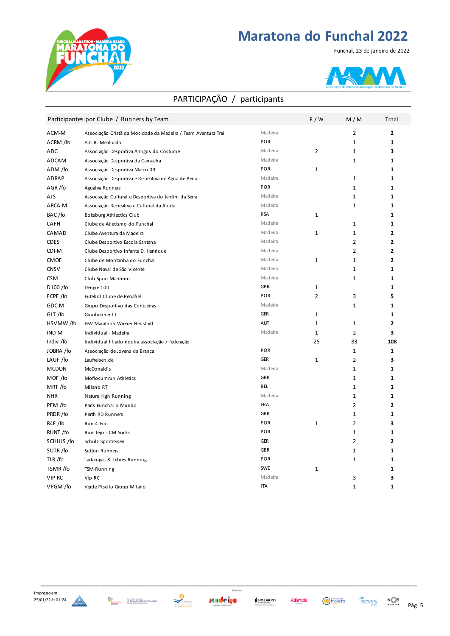



### PARTICIPAÇÃO / participants

|              | Participantes por Clube / Runners by Team                      |            | F/W            | M/M            | Total          |
|--------------|----------------------------------------------------------------|------------|----------------|----------------|----------------|
| ACM-M        | Associação Cristã da Mocidade da Madeira / Team Aventura Trail | Madeira    |                | 2              | 2              |
| ACRM /fo     | A.C.R. Mealhada                                                | POR        |                | $\mathbf{1}$   | $\mathbf{1}$   |
| ADC          | Associação Desportiva Amigos do Costume                        | Madeira    | $\overline{2}$ | $\mathbf 1$    | 3              |
| ADCAM        | Associação Desportiva da Camacha                               | Madeira    |                | $\mathbf{1}$   | 1              |
| ADM /fo      | Associação Desportiva Marco 09                                 | POR        | $\mathbf{1}$   |                | $\mathbf{1}$   |
| <b>ADRAP</b> | Associação Desportiva e Recreativa de Água de Pena             | Madeira    |                | 1              | $\mathbf{1}$   |
| AGR/fo       | Agualva Runners                                                | POR        |                | $\mathbf 1$    | $\mathbf{1}$   |
| AJS          | Associação Cultural e Desportiva do Jardim da Serra            | Madeira    |                | $\mathbf{1}$   | $\mathbf{1}$   |
| ARCA-M       | Associação Recreativa e Cultural da Ajuda                      | Madeira    |                | $\mathbf{1}$   | $\mathbf{1}$   |
| BAC/fo       | Boksburg Athlectics Club                                       | <b>RSA</b> | $\mathbf{1}$   |                | $\mathbf{1}$   |
| CAFH         | Clube de Atletismo do Funchal                                  | Madeira    |                | 1              | $\mathbf{1}$   |
| CAMAD        | Clube Aventura da Madeira                                      | Madeira    | $\mathbf{1}$   | 1              | $\mathbf{2}$   |
| <b>CDES</b>  | Clube Desportivo Escola Santana                                | Madeira    |                | $\overline{2}$ | 2              |
| CDI-M        | Clube Desportivo Infante D. Henrique                           | Madeira    |                | $\overline{2}$ | $\overline{2}$ |
| <b>CMOF</b>  | Clube de Montanha do Funchal                                   | Madeira    | $\mathbf{1}$   | $\mathbf{1}$   | $\overline{2}$ |
| <b>CNSV</b>  | Clube Naval de São Vicente                                     | Madeira    |                | $\mathbf{1}$   | $\mathbf{1}$   |
| <b>CSM</b>   | Club Sport Marítimo                                            | Madeira    |                | $\mathbf{1}$   | $\mathbf{1}$   |
| D100 /fo     | Dengie 100                                                     | <b>GBR</b> | $\mathbf{1}$   |                | $\mathbf{1}$   |
| FCPF /fo     | Futebol Clube de Penafiel                                      | POR        | $\overline{2}$ | 3              | 5              |
| GDC-M        | Grupo Desportivo das Corticeiras                               | Madeira    |                | $\mathbf 1$    | $\mathbf{1}$   |
| GLT/fo       | Ginnheimer LT                                                  | <b>GER</b> | $\mathbf{1}$   |                | $\mathbf{1}$   |
| HSVMW/fo     | HSV Marathon Wiener Neustadt                                   | AUT        | $\mathbf{1}$   | 1              | $\overline{2}$ |
| IND-M        | Individual - Madeira                                           | Madeira    | $\mathbf{1}$   | $\overline{2}$ | 3              |
| Indiv /fo    | Individual filiado noutra associação / federação               |            | 25             | 83             | 108            |
| JOBRA /fo    | Associação de Jovens da Branca                                 | POR        |                | $\mathbf 1$    | $\mathbf{1}$   |
| LAUF /fo     | Laufreisen.de                                                  | <b>GER</b> | $\mathbf{1}$   | $\overline{2}$ | 3              |
| <b>MCDON</b> | McDonald's                                                     | Madeira    |                | $\mathbf{1}$   | $\mathbf{1}$   |
| MOF /fo      | Moflocumrun Athletics                                          | <b>GBR</b> |                | $\mathbf{1}$   | $\mathbf{1}$   |
| MRT/fo       | Milano RT                                                      | <b>BEL</b> |                | $\mathbf{1}$   | $\mathbf{1}$   |
| <b>NHR</b>   | Nature High Running                                            | Madeira    |                | $\mathbf{1}$   | $\mathbf{1}$   |
| PFM /fo      | Paris Funchal o Mundo                                          | <b>FRA</b> |                | $\overline{2}$ | $\overline{2}$ |
| PRDR/fo      | Perth RD Runners                                               | <b>GBR</b> |                | $\mathbf{1}$   | $\mathbf{1}$   |
| R4F /fo      | Run 4 Fun                                                      | POR        | $\mathbf{1}$   | $\overline{2}$ | 3              |
| RUNT/fo      | Run Tejo - CM Socks                                            | POR        |                | $\mathbf{1}$   | $\mathbf{1}$   |
| SCHULS /fo   | Schulz Sportreisen                                             | <b>GER</b> |                | $\overline{2}$ | $\overline{2}$ |
| SUTR/fo      | Sutton Runners                                                 | <b>GBR</b> |                | $\mathbf 1$    | $\mathbf{1}$   |
| TLR/fo       | Tartarugas & Lebres Running                                    | POR        |                | $\mathbf{1}$   | $\mathbf{1}$   |
| TSMR/fo      | TSM-Running                                                    | <b>SWE</b> | $\mathbf 1$    |                | 1              |
| VIP-RC       | Vip RC                                                         | Madeira    |                | 3              | 3              |
| VPGM /fo     | Verde Pisello Group Milano                                     | <b>ITA</b> |                | $\mathbf{1}$   | 1              |



















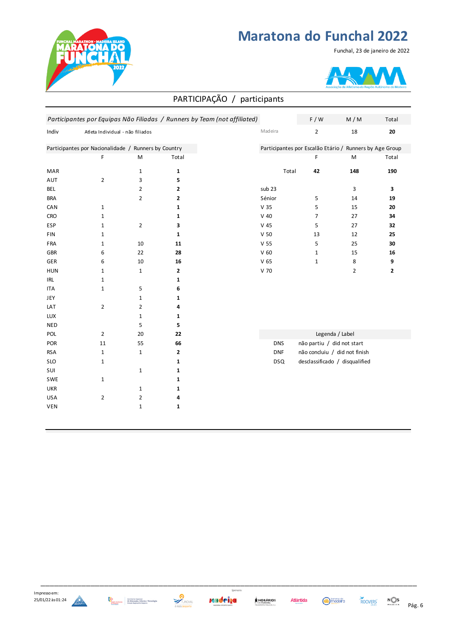

#### Funchal, 23 de janeiro de 2022



|            |                                                      |                |              | PARTICIPAÇÃO / participants                                               |                 |                |                                                         |              |
|------------|------------------------------------------------------|----------------|--------------|---------------------------------------------------------------------------|-----------------|----------------|---------------------------------------------------------|--------------|
|            |                                                      |                |              | Participantes por Equipas Não Filiadas / Runners by Team (not affiliated) |                 | F / W          | M/M                                                     | Total        |
| Indiv      | Atleta Individual - não filiados                     |                |              |                                                                           | Madeira         | $\overline{2}$ | 18                                                      | 20           |
|            | Participantes por Nacionalidade / Runners by Country |                |              |                                                                           |                 |                | Participantes por Escalão Etário / Runners by Age Group |              |
|            | F                                                    | M              | Total        |                                                                           |                 | F              | ${\sf M}$                                               | Total        |
| MAR        |                                                      | $\mathbf{1}$   | $\mathbf{1}$ |                                                                           | Total           | 42             | 148                                                     | 190          |
| AUT        | $\overline{2}$                                       | 3              | 5            |                                                                           |                 |                |                                                         |              |
| BEL        |                                                      | $\overline{2}$ | $\mathbf{2}$ |                                                                           | sub 23          |                | 3                                                       | 3            |
| <b>BRA</b> |                                                      | $\overline{2}$ | $\mathbf{2}$ |                                                                           | Sénior          | 5              | 14                                                      | 19           |
| CAN        | $\mathbf{1}$                                         |                | $\mathbf{1}$ |                                                                           | V <sub>35</sub> | 5              | 15                                                      | 20           |
| <b>CRO</b> | $\mathbf 1$                                          |                | $\mathbf{1}$ |                                                                           | $V$ 40          | 7              | 27                                                      | 34           |
| <b>ESP</b> | $\mathbf{1}$                                         | $\overline{2}$ | 3            |                                                                           | $V$ 45          | 5              | 27                                                      | 32           |
| FIN        | $\mathbf 1$                                          |                | $\mathbf{1}$ |                                                                           | V <sub>50</sub> | 13             | 12                                                      | 25           |
| FRA        | $\mathbf 1$                                          | 10             | 11           |                                                                           | V <sub>55</sub> | 5              | 25                                                      | 30           |
| <b>GBR</b> | 6                                                    | 22             | 28           |                                                                           | V <sub>60</sub> | $\mathbf 1$    | 15                                                      | 16           |
| <b>GER</b> | 6                                                    | 10             | 16           |                                                                           | V <sub>65</sub> | $\mathbf 1$    | 8                                                       | 9            |
| <b>HUN</b> | $\mathbf 1$                                          | $\mathbf 1$    | $\mathbf{2}$ |                                                                           | V 70            |                | $\overline{2}$                                          | $\mathbf{2}$ |
| <b>IRL</b> | $\mathbf{1}$                                         |                | $\mathbf{1}$ |                                                                           |                 |                |                                                         |              |
| <b>ITA</b> | $\mathbf 1$                                          | 5              | 6            |                                                                           |                 |                |                                                         |              |
| JEY        |                                                      | $\mathbf 1$    | $\mathbf{1}$ |                                                                           |                 |                |                                                         |              |
| LAT        | $\mathbf 2$                                          | $\overline{2}$ | 4            |                                                                           |                 |                |                                                         |              |
| <b>LUX</b> |                                                      | $\mathbf 1$    | $\mathbf{1}$ |                                                                           |                 |                |                                                         |              |
| <b>NED</b> |                                                      | 5              | 5            |                                                                           |                 |                |                                                         |              |
| POL        | $\overline{2}$                                       | 20             | 22           |                                                                           |                 |                | Legenda / Label                                         |              |
| POR        | 11                                                   | 55             | 66           |                                                                           | <b>DNS</b>      |                | não partiu / did not start                              |              |
| <b>RSA</b> | $\mathbf{1}$                                         | $\mathbf{1}$   | $\mathbf{2}$ |                                                                           | <b>DNF</b>      |                | não concluiu / did not finish                           |              |
| <b>SLO</b> | $\mathbf 1$                                          |                | $\mathbf{1}$ |                                                                           | <b>DSQ</b>      |                | desclassificado / disqualified                          |              |
| SUI        |                                                      | $\mathbf{1}$   | $\mathbf{1}$ |                                                                           |                 |                |                                                         |              |
| SWE        | $\mathbf 1$                                          |                | $\mathbf{1}$ |                                                                           |                 |                |                                                         |              |
| <b>UKR</b> |                                                      | $\mathbf 1$    | $\mathbf{1}$ |                                                                           |                 |                |                                                         |              |
| <b>USA</b> | $\overline{2}$                                       | $\overline{2}$ | 4            |                                                                           |                 |                |                                                         |              |
| VEN        |                                                      | $\mathbf 1$    | $\mathbf{1}$ |                                                                           |                 |                |                                                         |              |











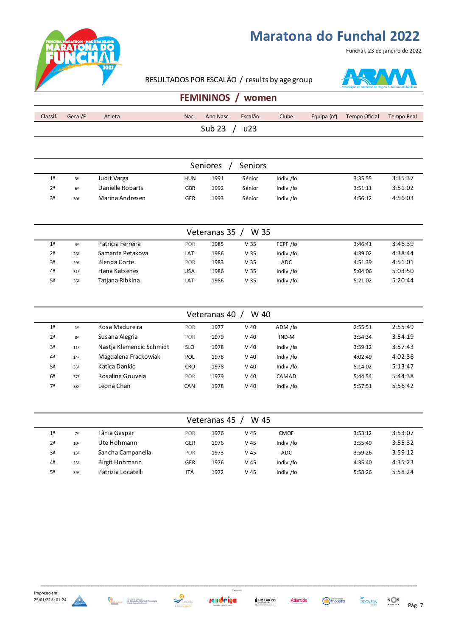

#### Funchal, 23 de janeiro de 2022

#### RESULTADOS POR ESCALÃO / results by age group

**FEMININOS / women**



| Classif.             | Geral/F | Atleta | Nac. | Ano Nasc. | Escalão | Clube | Equipa (nf) | Tempo Oficial | Tempo Real |
|----------------------|---------|--------|------|-----------|---------|-------|-------------|---------------|------------|
| <b>Sub 23</b><br>u23 |         |        |      |           |         |       |             |               |            |

| <b>Seniores</b><br><b>Seniors</b> |                 |                  |            |      |        |           |         |         |  |  |  |
|-----------------------------------|-----------------|------------------|------------|------|--------|-----------|---------|---------|--|--|--|
| 1 <sup>a</sup>                    | 3ª              | Judit Varga      | <b>HUN</b> | 1991 | Sénior | Indiv /fo | 3:35:55 | 3:35:37 |  |  |  |
| 2 <sup>a</sup>                    | 6 <sup>2</sup>  | Danielle Robarts | <b>GBR</b> | 1992 | Sénior | Indiv /fo | 3:51:11 | 3:51:02 |  |  |  |
| 3ª                                | 30 <sup>a</sup> | Marina Andresen  | GER        | 1993 | Sénior | Indiv /fo | 4:56:12 | 4:56:03 |  |  |  |

| W 35<br>Veteranas 35 |                 |                   |            |      |                 |            |         |         |  |  |  |
|----------------------|-----------------|-------------------|------------|------|-----------------|------------|---------|---------|--|--|--|
| 1 <sup>a</sup>       | 4 <sup>a</sup>  | Patricia Ferreira | POR        | 1985 | V <sub>35</sub> | FCPF /fo   | 3:46:41 | 3:46:39 |  |  |  |
| 2 <sup>a</sup>       | 26 <sup>a</sup> | Samanta Petakova  | LAT        | 1986 | V 35            | Indiv /fo  | 4:39:02 | 4:38:44 |  |  |  |
| 3ª                   | 29ª             | Blenda Corte      | <b>POR</b> | 1983 | V <sub>35</sub> | <b>ADC</b> | 4:51:39 | 4:51:01 |  |  |  |
| 4 <sup>a</sup>       | 31 <sup>a</sup> | Hana Katsenes     | USA        | 1986 | V <sub>35</sub> | Indiv /fo  | 5:04:06 | 5:03:50 |  |  |  |
| 5ª                   | 36 <sup>a</sup> | Tatjana Ribkina   | LAT        | 1986 | V <sub>35</sub> | Indiv /fo  | 5:21:02 | 5:20:44 |  |  |  |

| W 40<br>Veteranas 40 |                 |                          |            |      |        |           |         |         |  |  |  |
|----------------------|-----------------|--------------------------|------------|------|--------|-----------|---------|---------|--|--|--|
| 1 <sup>a</sup>       | 1 <sup>a</sup>  | Rosa Madureira           | <b>POR</b> | 1977 | $V$ 40 | ADM /fo   | 2:55:51 | 2:55:49 |  |  |  |
| 2 <sup>a</sup>       | 8 <sup>a</sup>  | Susana Alegria           | <b>POR</b> | 1979 | $V$ 40 | IND-M     | 3:54:34 | 3:54:19 |  |  |  |
| 3ª                   | 11 <sup>2</sup> | Nastia Klemencic Schmidt | <b>SLO</b> | 1978 | $V$ 40 | Indiv /fo | 3:59:12 | 3:57:43 |  |  |  |
| 4 <sup>a</sup>       | 14 <sup>a</sup> | Magdalena Frackowiak     | POL        | 1978 | $V$ 40 | Indiv /fo | 4:02:49 | 4:02:36 |  |  |  |
| 5ª                   | 33ª             | Katica Dankic            | <b>CRO</b> | 1978 | $V$ 40 | Indiv /fo | 5:14:02 | 5:13:47 |  |  |  |
| 6 <sup>a</sup>       | 37 <sup>a</sup> | Rosalina Gouveia         | <b>POR</b> | 1979 | $V$ 40 | CAMAD     | 5:44:54 | 5:44:38 |  |  |  |
| 7ª                   | 38ª             | Leona Chan               | <b>CAN</b> | 1978 | $V$ 40 | Indiv /fo | 5:57:51 | 5:56:42 |  |  |  |

|                | Veteranas 45<br>W 45 |                    |            |      |                 |             |         |         |  |  |  |  |
|----------------|----------------------|--------------------|------------|------|-----------------|-------------|---------|---------|--|--|--|--|
| 1 <sup>a</sup> | 7ª                   | Tânia Gaspar       | <b>POR</b> | 1976 | V <sub>45</sub> | <b>CMOF</b> | 3:53:12 | 3:53:07 |  |  |  |  |
| 2 <sup>a</sup> | 10 <sup>a</sup>      | Ute Hohmann        | <b>GER</b> | 1976 | $V$ 45          | Indiv /fo   | 3:55:49 | 3:55:32 |  |  |  |  |
| 3ª             | 13 <sup>a</sup>      | Sancha Campanella  | <b>POR</b> | 1973 | V <sub>45</sub> | ADC.        | 3:59:26 | 3:59:12 |  |  |  |  |
| 4 <sup>a</sup> | 25 <sup>a</sup>      | Birgit Hohmann     | <b>GER</b> | 1976 | V <sub>45</sub> | Indiv /fo   | 4:35:40 | 4:35:23 |  |  |  |  |
| 5ª             | 39ª                  | Patrizia Locatelli | <b>ITA</b> | 1972 | V <sub>45</sub> | Indiv /fo   | 5:58:26 | 5:58:24 |  |  |  |  |











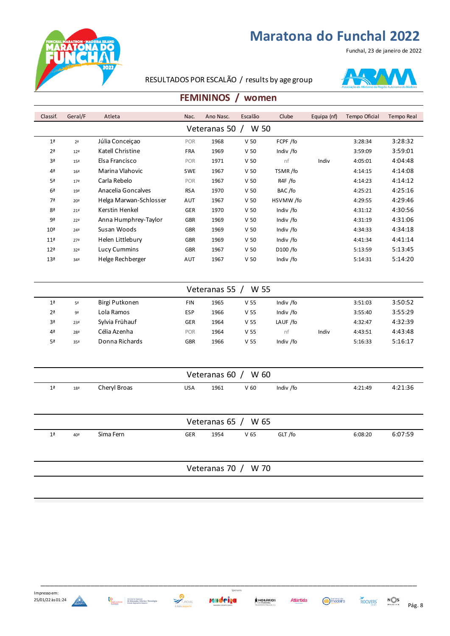



#### RESULTADOS POR ESCALÃO / results by age group



#### **FEMININOS / women**

| Classif.               | Geral/F         | Atleta                 | Nac.       | Ano Nasc. | Escalão         | Clube                | Equipa (nf) | Tempo Oficial | Tempo Real |  |
|------------------------|-----------------|------------------------|------------|-----------|-----------------|----------------------|-------------|---------------|------------|--|
| W 50<br>Veteranas 50 / |                 |                        |            |           |                 |                      |             |               |            |  |
| 1 <sup>a</sup>         | 2 <sup>a</sup>  | Júlia Conceiçao        | POR        | 1968      | V <sub>50</sub> | FCPF /fo             |             | 3:28:34       | 3:28:32    |  |
| 2 <sup>a</sup>         | 12 <sup>a</sup> | Katell Christine       | <b>FRA</b> | 1969      | V <sub>50</sub> | Indiv /fo            |             | 3:59:09       | 3:59:01    |  |
| 3 <sup>a</sup>         | 15 <sup>a</sup> | Elsa Francisco         | POR        | 1971      | V <sub>50</sub> | nf                   | Indiv       | 4:05:01       | 4:04:48    |  |
| 4 <sup>a</sup>         | 16 <sup>2</sup> | Marina Vlahovic        | <b>SWE</b> | 1967      | V <sub>50</sub> | TSMR/fo              |             | 4:14:15       | 4:14:08    |  |
| 5 <sup>a</sup>         | 17 <sup>a</sup> | Carla Rebelo           | POR        | 1967      | V <sub>50</sub> | R4F /fo              |             | 4:14:23       | 4:14:12    |  |
| 6 <sup>a</sup>         | 19 <sup>a</sup> | Anacelia Goncalves     | <b>RSA</b> | 1970      | V <sub>50</sub> | BAC/fo               |             | 4:25:21       | 4:25:16    |  |
| 7ª                     | 20 <sup>a</sup> | Helga Marwan-Schlosser | AUT        | 1967      | V <sub>50</sub> | HSVMW/fo             |             | 4:29:55       | 4:29:46    |  |
| 8ª                     | 21 <sup>a</sup> | Kerstin Henkel         | <b>GER</b> | 1970      | V <sub>50</sub> | Indiv /fo            |             | 4:31:12       | 4:30:56    |  |
| 9ª                     | 22 <sup>a</sup> | Anna Humphrey-Taylor   | <b>GBR</b> | 1969      | V <sub>50</sub> | Indiv /fo            |             | 4:31:19       | 4:31:06    |  |
| 10 <sup>a</sup>        | 24 <sup>a</sup> | Susan Woods            | <b>GBR</b> | 1969      | V <sub>50</sub> | Indiv /fo            |             | 4:34:33       | 4:34:18    |  |
| 11 <sup>a</sup>        | 27 <sup>a</sup> | Helen Littlebury       | <b>GBR</b> | 1969      | V <sub>50</sub> | Indiv /fo            |             | 4:41:34       | 4:41:14    |  |
| 12 <sup>a</sup>        | 32 <sup>a</sup> | Lucy Cummins           | <b>GBR</b> | 1967      | V <sub>50</sub> | D <sub>100</sub> /fo |             | 5:13:59       | 5:13:45    |  |
| 13 <sup>a</sup>        | 34 <sup>a</sup> | Helge Rechberger       | AUT        | 1967      | V <sub>50</sub> | Indiv /fo            |             | 5:14:31       | 5:14:20    |  |

| W 55<br>Veteranas 55 |     |                |            |      |                 |           |       |         |         |  |  |
|----------------------|-----|----------------|------------|------|-----------------|-----------|-------|---------|---------|--|--|
| 1 <sup>a</sup>       | 5ª  | Birgi Putkonen | FIN        | 1965 | V <sub>55</sub> | Indiv /fo |       | 3:51:03 | 3:50:52 |  |  |
| 2 <sup>a</sup>       | 9ª  | Lola Ramos     | <b>ESP</b> | 1966 | V <sub>55</sub> | Indiv /fo |       | 3:55:40 | 3:55:29 |  |  |
| 3ª                   | 23ª | Sylvia Frühauf | <b>GER</b> | 1964 | V <sub>55</sub> | LAUF /fo  |       | 4:32:47 | 4:32:39 |  |  |
| 4 <sup>a</sup>       | 28ª | Célia Azenha   | <b>POR</b> | 1964 | V <sub>55</sub> | nt        | Indiv | 4:43:51 | 4:43:48 |  |  |
| 5ª                   | 35ª | Donna Richards | <b>GBR</b> | 1966 | V <sub>55</sub> | Indiv /fo |       | 5:16:33 | 5:16:17 |  |  |

|                       | Veteranas 60 / W 60 |              |            |      |                 |           |         |         |  |  |  |
|-----------------------|---------------------|--------------|------------|------|-----------------|-----------|---------|---------|--|--|--|
| 1 <sup>a</sup>        | 18 <sup>a</sup>     | Cheryl Broas | <b>USA</b> | 1961 | V <sub>60</sub> | Indiv /fo | 4:21:49 | 4:21:36 |  |  |  |
|                       |                     |              |            |      |                 |           |         |         |  |  |  |
| Veteranas $65 / W 65$ |                     |              |            |      |                 |           |         |         |  |  |  |
| 1 <sup>a</sup>        | 40ª                 | Sima Fern    | <b>GER</b> | 1954 | V <sub>65</sub> | GLT /fo   | 6:08:20 | 6:07:59 |  |  |  |
|                       |                     |              |            |      |                 |           |         |         |  |  |  |
|                       | Veteranas 70 / W 70 |              |            |      |                 |           |         |         |  |  |  |

x







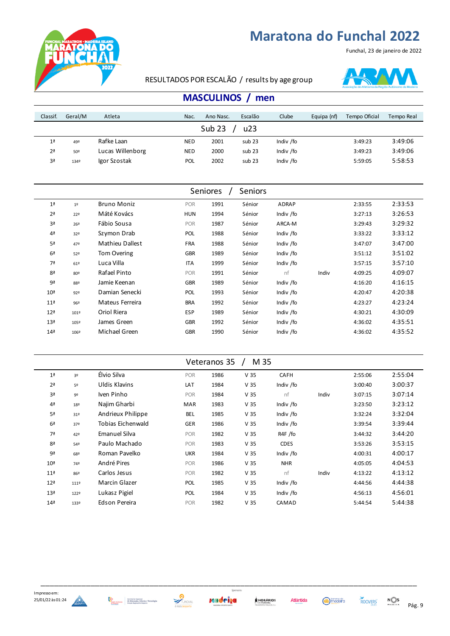



Funchal, 23 de janeiro de 2022

### RESULTADOS POR ESCALÃO / results by age group

|                | <b>MASCULINOS</b><br>men |                  |            |           |         |           |             |               |            |  |  |  |
|----------------|--------------------------|------------------|------------|-----------|---------|-----------|-------------|---------------|------------|--|--|--|
| Classif.       | Geral/M                  | Atleta           | Nac.       | Ano Nasc. | Escalão | Clube     | Equipa (nf) | Tempo Oficial | Tempo Real |  |  |  |
|                | Sub <sub>23</sub><br>u23 |                  |            |           |         |           |             |               |            |  |  |  |
| 1 <sup>a</sup> | 49º                      | Rafke Laan       | <b>NED</b> | 2001      | sub 23  | Indiv /fo |             | 3:49:23       | 3:49:06    |  |  |  |
| 2 <sup>a</sup> | 50º                      | Lucas Willenborg | <b>NED</b> | 2000      | sub 23  | Indiv /fo |             | 3:49:23       | 3:49:06    |  |  |  |
| 3ª             | 134º                     | Igor Szostak     | <b>POL</b> | 2002      | sub 23  | Indiv /fo |             | 5:59:05       | 5:58:53    |  |  |  |

|                |                        |            |      | <b>Seniors</b> |           |       |         |         |
|----------------|------------------------|------------|------|----------------|-----------|-------|---------|---------|
| 1 <sup>°</sup> | <b>Bruno Moniz</b>     | POR        | 1991 | Sénior         | ADRAP     |       | 2:33:55 | 2:33:53 |
| 22º            | Máté Kovács            | <b>HUN</b> | 1994 | Sénior         | Indiv /fo |       | 3:27:13 | 3:26:53 |
| 26º            | Fábio Sousa            | POR        | 1987 | Sénior         | ARCA-M    |       | 3:29:43 | 3:29:32 |
| 32º            | Szymon Drab            | POL        | 1988 | Sénior         | Indiv /fo |       | 3:33:22 | 3:33:12 |
| 47º            | <b>Mathieu Dallest</b> | <b>FRA</b> | 1988 | Sénior         | Indiv /fo |       | 3:47:07 | 3:47:00 |
| 52º            | <b>Tom Overing</b>     | <b>GBR</b> | 1989 | Sénior         | Indiv /fo |       | 3:51:12 | 3:51:02 |
| 61º            | Luca Villa             | <b>ITA</b> | 1999 | Sénior         | Indiv /fo |       | 3:57:15 | 3:57:10 |
| 80º            | Rafael Pinto           | POR        | 1991 | Sénior         | nf        | Indiv | 4:09:25 | 4:09:07 |
| 88º            | Jamie Keenan           | <b>GBR</b> | 1989 | Sénior         | Indiv /fo |       | 4:16:20 | 4:16:15 |
| 92º            | Damian Senecki         | POL        | 1993 | Sénior         | Indiv /fo |       | 4:20:47 | 4:20:38 |
| 96º            | Mateus Ferreira        | <b>BRA</b> | 1992 | Sénior         | Indiv /fo |       | 4:23:27 | 4:23:24 |
| 1019           | Oriol Riera            | <b>ESP</b> | 1989 | Sénior         | Indiv /fo |       | 4:30:21 | 4:30:09 |
| 105º           | James Green            | <b>GBR</b> | 1992 | Sénior         | Indiv /fo |       | 4:36:02 | 4:35:51 |
| 106º           | Michael Green          | <b>GBR</b> | 1990 | Sénior         | Indiv /fo |       | 4:36:02 | 4:35:52 |
|                |                        |            |      | Seniores       |           |       |         |         |

| M 35<br>Veteranos 35<br>$\prime$ |                 |                      |            |      |                 |             |       |         |         |  |  |
|----------------------------------|-----------------|----------------------|------------|------|-----------------|-------------|-------|---------|---------|--|--|
| 1 <sup>a</sup>                   | 3º              | Élvio Silva          | <b>POR</b> | 1986 | V <sub>35</sub> | CAFH        |       | 2:55:06 | 2:55:04 |  |  |
| 2 <sup>a</sup>                   | 5º              | Uldis Klavins        | LAT        | 1984 | V <sub>35</sub> | Indiv /fo   |       | 3:00:40 | 3:00:37 |  |  |
| 3ª                               | 9º              | Iven Pinho           | POR        | 1984 | V <sub>35</sub> | nf          | Indiv | 3:07:15 | 3:07:14 |  |  |
| 4 <sup>a</sup>                   | 18º             | Najim Gharbi         | <b>MAR</b> | 1983 | V <sub>35</sub> | Indiv /fo   |       | 3:23:50 | 3:23:12 |  |  |
| 5ª                               | 31 <sup>o</sup> | Andrieux Philippe    | BEL        | 1985 | V <sub>35</sub> | Indiv /fo   |       | 3:32:24 | 3:32:04 |  |  |
| 6 <sup>a</sup>                   | 37º             | Tobias Eichenwald    | <b>GER</b> | 1986 | V <sub>35</sub> | Indiv /fo   |       | 3:39:54 | 3:39:44 |  |  |
| 7ª                               | 42º             | <b>Emanuel Silva</b> | POR        | 1982 | V <sub>35</sub> | R4F /fo     |       | 3:44:32 | 3:44:20 |  |  |
| 8ª                               | 54º             | Paulo Machado        | <b>POR</b> | 1983 | V <sub>35</sub> | <b>CDES</b> |       | 3:53:26 | 3:53:15 |  |  |
| 9ª                               | 68º             | Roman Pavelko        | <b>UKR</b> | 1984 | V <sub>35</sub> | Indiv /fo   |       | 4:00:31 | 4:00:17 |  |  |
| 10 <sup>a</sup>                  | 74º             | André Pires          | POR        | 1986 | V <sub>35</sub> | <b>NHR</b>  |       | 4:05:05 | 4:04:53 |  |  |
| 11 <sup>a</sup>                  | 86º             | Carlos Jesus         | <b>POR</b> | 1982 | V <sub>35</sub> | nf          | Indiv | 4:13:22 | 4:13:12 |  |  |
| 12 <sup>a</sup>                  | 111º            | Marcin Glazer        | <b>POL</b> | 1985 | V <sub>35</sub> | Indiv /fo   |       | 4:44:56 | 4:44:38 |  |  |
| 13 <sup>a</sup>                  | 122º            | Lukasz Pigiel        | POL        | 1984 | V <sub>35</sub> | Indiv /fo   |       | 4:56:13 | 4:56:01 |  |  |
| 14 <sup>a</sup>                  | 133º            | Edson Pereira        | <b>POR</b> | 1982 | V <sub>35</sub> | CAMAD       |       | 5:44:54 | 5:44:38 |  |  |







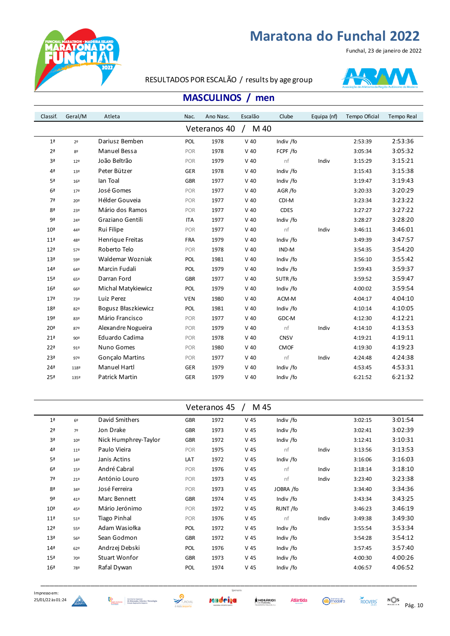



#### RESULTADOS POR ESCALÃO / results by age group



### **MASCULINOS / men**

| M 40<br>Veteranos 40<br>Dariusz Bemben<br>2:53:36<br>1 <sup>a</sup><br>POL<br>1978<br>$V$ 40<br>Indiv /fo<br>2:53:39<br>2 <sup>o</sup><br>Manuel Bessa<br>3:05:32<br>2 <sup>a</sup><br>1978<br>$V$ 40<br>FCPF /fo<br>3:05:34<br>POR<br>8º<br>João Beltrão<br>nf<br>Indiv<br>3:15:21<br>3ª<br>1979<br>$V$ 40<br>POR<br>3:15:29<br>12 <sup>°</sup><br>Peter Bützer<br>3:15:38<br>4 <sup>a</sup><br>1978<br>$V$ 40<br>Indiv /fo<br><b>GER</b><br>3:15:43<br>13º<br>lan Toal<br>3:19:43<br>5ª<br><b>GBR</b><br>1977<br>$V$ 40<br>Indiv /fo<br>3:19:47<br>16º<br>José Gomes<br>3:20:29<br>6 <sup>a</sup><br>1977<br>AGR/fo<br>POR<br>$V$ 40<br>3:20:33<br>179<br>Hélder Gouveia<br>3:23:22<br>7ª<br>1977<br>$V$ 40<br>CDI-M<br>POR<br>3:23:34<br>20º<br>3:27:22<br>8 <sup>a</sup><br>Mário dos Ramos<br>1977<br>$V$ 40<br><b>CDES</b><br>POR<br>3:27:27<br>23º<br>Graziano Gentili<br>Indiv /fo<br>3:28:20<br>9ª<br><b>ITA</b><br>1977<br>$V$ 40<br>3:28:27<br>24º<br>Rui Filipe<br>3:46:01<br>1977<br>$V$ 40<br>nf<br>Indiv<br>3:46:11<br>10 <sup>a</sup><br>POR<br>44º<br>3:47:57<br>Henrique Freitas<br>1979<br>$V$ 40<br>Indiv /fo<br>11 <sup>a</sup><br>FRA<br>3:49:39<br>48º<br>Roberto Telo<br>1978<br>IND-M<br>3:54:20<br>12 <sup>a</sup><br>POR<br>$V$ 40<br>3:54:35<br>57º<br>Waldemar Wozniak<br>3:55:42<br>1981<br>Indiv /fo<br>13 <sup>a</sup><br>POL<br>$V$ 40<br>3:56:10<br>59º<br>Marcin Fudali<br>Indiv /fo<br>3:59:37<br>14 <sup>a</sup><br>POL<br>1979<br>$V$ 40<br>3:59:43<br>64º<br>Darran Ford<br>3:59:47<br>15 <sup>a</sup><br><b>GBR</b><br>1977<br>$V$ 40<br>SUTR/fo<br>3:59:52<br>65º<br>3:59:54<br>Michal Matykiewicz<br>Indiv /fo<br>16 <sup>a</sup><br>POL<br>1979<br>$V$ 40<br>4:00:02<br>66º<br>Luiz Perez<br>4:04:10<br>17 <sup>a</sup><br><b>VEN</b><br>1980<br>$V$ 40<br>ACM-M<br>4:04:17<br>73º<br>Bogusz Błaszkiewicz<br>Indiv /fo<br>4:10:05<br>18 <sup>a</sup><br>POL<br>1981<br>$V$ 40<br>4:10:14<br>82º<br>Mário Francisco<br>4:12:21<br>POR<br>1977<br>$V$ 40<br>GDC-M<br>4:12:30<br>19ª<br>83º<br>Alexandre Nogueira<br>4:13:53<br>20 <sup>a</sup><br>1979<br>$V$ 40<br>nf<br>Indiv<br>POR<br>4:14:10<br>87º<br>Eduardo Cadima<br>4:19:11<br>21 <sup>a</sup><br>1978<br>$V$ 40<br><b>CNSV</b><br>4:19:21<br>POR<br>90º<br>Nuno Gomes<br>4:19:23<br>22 <sup>a</sup><br>POR<br>1980<br>$V$ 40<br><b>CMOF</b><br>4:19:30<br>91º<br>nf<br>4:24:38<br>23 <sup>a</sup><br><b>Gonçalo Martins</b><br>1977<br>$V$ 40<br>Indiv<br>POR<br>4:24:48<br>97º<br><b>Manuel Hartl</b><br>4:53:31<br>24 <sup>a</sup><br>1979<br>$V$ 40<br>Indiv /fo<br><b>GER</b><br>4:53:45<br>1189 | Classif.        | Geral/M | Atleta                | Nac.       | Ano Nasc. | Escalão | Clube     | Equipa (nf) | Tempo Oficial | Tempo Real |
|----------------------------------------------------------------------------------------------------------------------------------------------------------------------------------------------------------------------------------------------------------------------------------------------------------------------------------------------------------------------------------------------------------------------------------------------------------------------------------------------------------------------------------------------------------------------------------------------------------------------------------------------------------------------------------------------------------------------------------------------------------------------------------------------------------------------------------------------------------------------------------------------------------------------------------------------------------------------------------------------------------------------------------------------------------------------------------------------------------------------------------------------------------------------------------------------------------------------------------------------------------------------------------------------------------------------------------------------------------------------------------------------------------------------------------------------------------------------------------------------------------------------------------------------------------------------------------------------------------------------------------------------------------------------------------------------------------------------------------------------------------------------------------------------------------------------------------------------------------------------------------------------------------------------------------------------------------------------------------------------------------------------------------------------------------------------------------------------------------------------------------------------------------------------------------------------------------------------------------------------------------------------------------------------------------------------------------------------------------------------------------------------------------------------------------------------------------------------------------------------------------------------------------------------------------------------------------------------------------|-----------------|---------|-----------------------|------------|-----------|---------|-----------|-------------|---------------|------------|
|                                                                                                                                                                                                                                                                                                                                                                                                                                                                                                                                                                                                                                                                                                                                                                                                                                                                                                                                                                                                                                                                                                                                                                                                                                                                                                                                                                                                                                                                                                                                                                                                                                                                                                                                                                                                                                                                                                                                                                                                                                                                                                                                                                                                                                                                                                                                                                                                                                                                                                                                                                                                          |                 |         |                       |            |           |         |           |             |               |            |
|                                                                                                                                                                                                                                                                                                                                                                                                                                                                                                                                                                                                                                                                                                                                                                                                                                                                                                                                                                                                                                                                                                                                                                                                                                                                                                                                                                                                                                                                                                                                                                                                                                                                                                                                                                                                                                                                                                                                                                                                                                                                                                                                                                                                                                                                                                                                                                                                                                                                                                                                                                                                          |                 |         |                       |            |           |         |           |             |               |            |
|                                                                                                                                                                                                                                                                                                                                                                                                                                                                                                                                                                                                                                                                                                                                                                                                                                                                                                                                                                                                                                                                                                                                                                                                                                                                                                                                                                                                                                                                                                                                                                                                                                                                                                                                                                                                                                                                                                                                                                                                                                                                                                                                                                                                                                                                                                                                                                                                                                                                                                                                                                                                          |                 |         |                       |            |           |         |           |             |               |            |
|                                                                                                                                                                                                                                                                                                                                                                                                                                                                                                                                                                                                                                                                                                                                                                                                                                                                                                                                                                                                                                                                                                                                                                                                                                                                                                                                                                                                                                                                                                                                                                                                                                                                                                                                                                                                                                                                                                                                                                                                                                                                                                                                                                                                                                                                                                                                                                                                                                                                                                                                                                                                          |                 |         |                       |            |           |         |           |             |               |            |
|                                                                                                                                                                                                                                                                                                                                                                                                                                                                                                                                                                                                                                                                                                                                                                                                                                                                                                                                                                                                                                                                                                                                                                                                                                                                                                                                                                                                                                                                                                                                                                                                                                                                                                                                                                                                                                                                                                                                                                                                                                                                                                                                                                                                                                                                                                                                                                                                                                                                                                                                                                                                          |                 |         |                       |            |           |         |           |             |               |            |
|                                                                                                                                                                                                                                                                                                                                                                                                                                                                                                                                                                                                                                                                                                                                                                                                                                                                                                                                                                                                                                                                                                                                                                                                                                                                                                                                                                                                                                                                                                                                                                                                                                                                                                                                                                                                                                                                                                                                                                                                                                                                                                                                                                                                                                                                                                                                                                                                                                                                                                                                                                                                          |                 |         |                       |            |           |         |           |             |               |            |
|                                                                                                                                                                                                                                                                                                                                                                                                                                                                                                                                                                                                                                                                                                                                                                                                                                                                                                                                                                                                                                                                                                                                                                                                                                                                                                                                                                                                                                                                                                                                                                                                                                                                                                                                                                                                                                                                                                                                                                                                                                                                                                                                                                                                                                                                                                                                                                                                                                                                                                                                                                                                          |                 |         |                       |            |           |         |           |             |               |            |
|                                                                                                                                                                                                                                                                                                                                                                                                                                                                                                                                                                                                                                                                                                                                                                                                                                                                                                                                                                                                                                                                                                                                                                                                                                                                                                                                                                                                                                                                                                                                                                                                                                                                                                                                                                                                                                                                                                                                                                                                                                                                                                                                                                                                                                                                                                                                                                                                                                                                                                                                                                                                          |                 |         |                       |            |           |         |           |             |               |            |
|                                                                                                                                                                                                                                                                                                                                                                                                                                                                                                                                                                                                                                                                                                                                                                                                                                                                                                                                                                                                                                                                                                                                                                                                                                                                                                                                                                                                                                                                                                                                                                                                                                                                                                                                                                                                                                                                                                                                                                                                                                                                                                                                                                                                                                                                                                                                                                                                                                                                                                                                                                                                          |                 |         |                       |            |           |         |           |             |               |            |
|                                                                                                                                                                                                                                                                                                                                                                                                                                                                                                                                                                                                                                                                                                                                                                                                                                                                                                                                                                                                                                                                                                                                                                                                                                                                                                                                                                                                                                                                                                                                                                                                                                                                                                                                                                                                                                                                                                                                                                                                                                                                                                                                                                                                                                                                                                                                                                                                                                                                                                                                                                                                          |                 |         |                       |            |           |         |           |             |               |            |
|                                                                                                                                                                                                                                                                                                                                                                                                                                                                                                                                                                                                                                                                                                                                                                                                                                                                                                                                                                                                                                                                                                                                                                                                                                                                                                                                                                                                                                                                                                                                                                                                                                                                                                                                                                                                                                                                                                                                                                                                                                                                                                                                                                                                                                                                                                                                                                                                                                                                                                                                                                                                          |                 |         |                       |            |           |         |           |             |               |            |
|                                                                                                                                                                                                                                                                                                                                                                                                                                                                                                                                                                                                                                                                                                                                                                                                                                                                                                                                                                                                                                                                                                                                                                                                                                                                                                                                                                                                                                                                                                                                                                                                                                                                                                                                                                                                                                                                                                                                                                                                                                                                                                                                                                                                                                                                                                                                                                                                                                                                                                                                                                                                          |                 |         |                       |            |           |         |           |             |               |            |
|                                                                                                                                                                                                                                                                                                                                                                                                                                                                                                                                                                                                                                                                                                                                                                                                                                                                                                                                                                                                                                                                                                                                                                                                                                                                                                                                                                                                                                                                                                                                                                                                                                                                                                                                                                                                                                                                                                                                                                                                                                                                                                                                                                                                                                                                                                                                                                                                                                                                                                                                                                                                          |                 |         |                       |            |           |         |           |             |               |            |
|                                                                                                                                                                                                                                                                                                                                                                                                                                                                                                                                                                                                                                                                                                                                                                                                                                                                                                                                                                                                                                                                                                                                                                                                                                                                                                                                                                                                                                                                                                                                                                                                                                                                                                                                                                                                                                                                                                                                                                                                                                                                                                                                                                                                                                                                                                                                                                                                                                                                                                                                                                                                          |                 |         |                       |            |           |         |           |             |               |            |
|                                                                                                                                                                                                                                                                                                                                                                                                                                                                                                                                                                                                                                                                                                                                                                                                                                                                                                                                                                                                                                                                                                                                                                                                                                                                                                                                                                                                                                                                                                                                                                                                                                                                                                                                                                                                                                                                                                                                                                                                                                                                                                                                                                                                                                                                                                                                                                                                                                                                                                                                                                                                          |                 |         |                       |            |           |         |           |             |               |            |
|                                                                                                                                                                                                                                                                                                                                                                                                                                                                                                                                                                                                                                                                                                                                                                                                                                                                                                                                                                                                                                                                                                                                                                                                                                                                                                                                                                                                                                                                                                                                                                                                                                                                                                                                                                                                                                                                                                                                                                                                                                                                                                                                                                                                                                                                                                                                                                                                                                                                                                                                                                                                          |                 |         |                       |            |           |         |           |             |               |            |
|                                                                                                                                                                                                                                                                                                                                                                                                                                                                                                                                                                                                                                                                                                                                                                                                                                                                                                                                                                                                                                                                                                                                                                                                                                                                                                                                                                                                                                                                                                                                                                                                                                                                                                                                                                                                                                                                                                                                                                                                                                                                                                                                                                                                                                                                                                                                                                                                                                                                                                                                                                                                          |                 |         |                       |            |           |         |           |             |               |            |
|                                                                                                                                                                                                                                                                                                                                                                                                                                                                                                                                                                                                                                                                                                                                                                                                                                                                                                                                                                                                                                                                                                                                                                                                                                                                                                                                                                                                                                                                                                                                                                                                                                                                                                                                                                                                                                                                                                                                                                                                                                                                                                                                                                                                                                                                                                                                                                                                                                                                                                                                                                                                          |                 |         |                       |            |           |         |           |             |               |            |
|                                                                                                                                                                                                                                                                                                                                                                                                                                                                                                                                                                                                                                                                                                                                                                                                                                                                                                                                                                                                                                                                                                                                                                                                                                                                                                                                                                                                                                                                                                                                                                                                                                                                                                                                                                                                                                                                                                                                                                                                                                                                                                                                                                                                                                                                                                                                                                                                                                                                                                                                                                                                          |                 |         |                       |            |           |         |           |             |               |            |
|                                                                                                                                                                                                                                                                                                                                                                                                                                                                                                                                                                                                                                                                                                                                                                                                                                                                                                                                                                                                                                                                                                                                                                                                                                                                                                                                                                                                                                                                                                                                                                                                                                                                                                                                                                                                                                                                                                                                                                                                                                                                                                                                                                                                                                                                                                                                                                                                                                                                                                                                                                                                          |                 |         |                       |            |           |         |           |             |               |            |
|                                                                                                                                                                                                                                                                                                                                                                                                                                                                                                                                                                                                                                                                                                                                                                                                                                                                                                                                                                                                                                                                                                                                                                                                                                                                                                                                                                                                                                                                                                                                                                                                                                                                                                                                                                                                                                                                                                                                                                                                                                                                                                                                                                                                                                                                                                                                                                                                                                                                                                                                                                                                          |                 |         |                       |            |           |         |           |             |               |            |
|                                                                                                                                                                                                                                                                                                                                                                                                                                                                                                                                                                                                                                                                                                                                                                                                                                                                                                                                                                                                                                                                                                                                                                                                                                                                                                                                                                                                                                                                                                                                                                                                                                                                                                                                                                                                                                                                                                                                                                                                                                                                                                                                                                                                                                                                                                                                                                                                                                                                                                                                                                                                          |                 |         |                       |            |           |         |           |             |               |            |
|                                                                                                                                                                                                                                                                                                                                                                                                                                                                                                                                                                                                                                                                                                                                                                                                                                                                                                                                                                                                                                                                                                                                                                                                                                                                                                                                                                                                                                                                                                                                                                                                                                                                                                                                                                                                                                                                                                                                                                                                                                                                                                                                                                                                                                                                                                                                                                                                                                                                                                                                                                                                          |                 |         |                       |            |           |         |           |             |               |            |
|                                                                                                                                                                                                                                                                                                                                                                                                                                                                                                                                                                                                                                                                                                                                                                                                                                                                                                                                                                                                                                                                                                                                                                                                                                                                                                                                                                                                                                                                                                                                                                                                                                                                                                                                                                                                                                                                                                                                                                                                                                                                                                                                                                                                                                                                                                                                                                                                                                                                                                                                                                                                          |                 |         |                       |            |           |         |           |             |               |            |
|                                                                                                                                                                                                                                                                                                                                                                                                                                                                                                                                                                                                                                                                                                                                                                                                                                                                                                                                                                                                                                                                                                                                                                                                                                                                                                                                                                                                                                                                                                                                                                                                                                                                                                                                                                                                                                                                                                                                                                                                                                                                                                                                                                                                                                                                                                                                                                                                                                                                                                                                                                                                          |                 |         |                       |            |           |         |           |             |               |            |
|                                                                                                                                                                                                                                                                                                                                                                                                                                                                                                                                                                                                                                                                                                                                                                                                                                                                                                                                                                                                                                                                                                                                                                                                                                                                                                                                                                                                                                                                                                                                                                                                                                                                                                                                                                                                                                                                                                                                                                                                                                                                                                                                                                                                                                                                                                                                                                                                                                                                                                                                                                                                          | 25 <sup>a</sup> | 135º    | <b>Patrick Martin</b> | <b>GER</b> | 1979      | $V$ 40  | Indiv /fo |             | 6:21:52       | 6:21:32    |

|                 |                |                      |            | Veteranos 45 | M 45            |           |       |         |         |
|-----------------|----------------|----------------------|------------|--------------|-----------------|-----------|-------|---------|---------|
| 1 <sup>a</sup>  | 6 <sup>°</sup> | David Smithers       | <b>GBR</b> | 1972         | $V$ 45          | Indiv /fo |       | 3:02:15 | 3:01:54 |
| 2 <sup>a</sup>  | 7º             | Jon Drake            | <b>GBR</b> | 1973         | $V$ 45          | Indiv /fo |       | 3:02:41 | 3:02:39 |
| 3ª              | $10^{9}$       | Nick Humphrey-Taylor | <b>GBR</b> | 1972         | $V$ 45          | Indiv /fo |       | 3:12:41 | 3:10:31 |
| 4 <sup>a</sup>  | 11º            | Paulo Vieira         | POR        | 1975         | V <sub>45</sub> | nf        | Indiv | 3:13:56 | 3:13:53 |
| 5ª              | 14º            | Janis Actins         | LAT        | 1972         | V <sub>45</sub> | Indiv /fo |       | 3:16:06 | 3:16:03 |
| 6 <sup>a</sup>  | 15º            | André Cabral         | POR        | 1976         | V <sub>45</sub> | nf        | Indiv | 3:18:14 | 3:18:10 |
| 7ª              | 21º            | António Louro        | POR        | 1973         | V 45            | nf        | Indiv | 3:23:40 | 3:23:38 |
| 8 <sup>a</sup>  | 34º            | José Ferreira        | POR        | 1973         | V 45            | JOBRA /fo |       | 3:34:40 | 3:34:36 |
| 9ª              | 41º            | Marc Bennett         | <b>GBR</b> | 1974         | $V$ 45          | Indiv /fo |       | 3:43:34 | 3:43:25 |
| 10 <sup>a</sup> | 45º            | Mário Jerónimo       | POR        | 1972         | V <sub>45</sub> | RUNT /fo  |       | 3:46:23 | 3:46:19 |
| 11 <sup>a</sup> | 51º            | <b>Tiago Pinhal</b>  | POR        | 1976         | $V$ 45          | nf        | Indiv | 3:49:38 | 3:49:30 |
| 12 <sup>a</sup> | 55º            | Adam Wasiołka        | POL        | 1972         | V 45            | Indiv /fo |       | 3:55:54 | 3:53:34 |
| 13 <sup>a</sup> | 56º            | Sean Godmon          | <b>GBR</b> | 1972         | V 45            | Indiv /fo |       | 3:54:28 | 3:54:12 |
| 14 <sup>2</sup> | 62°            | Andrzej Debski       | POL        | 1976         | V <sub>45</sub> | Indiv /fo |       | 3:57:45 | 3:57:40 |
| 15 <sup>a</sup> | 70º            | <b>Stuart Wonfor</b> | <b>GBR</b> | 1973         | V <sub>45</sub> | Indiv /fo |       | 4:00:30 | 4:00:26 |
| 16 <sup>a</sup> | 78º            | Rafal Dywan          | POL        | 1974         | V <sub>45</sub> | Indiv /fo |       | 4:06:57 | 4:06:52 |



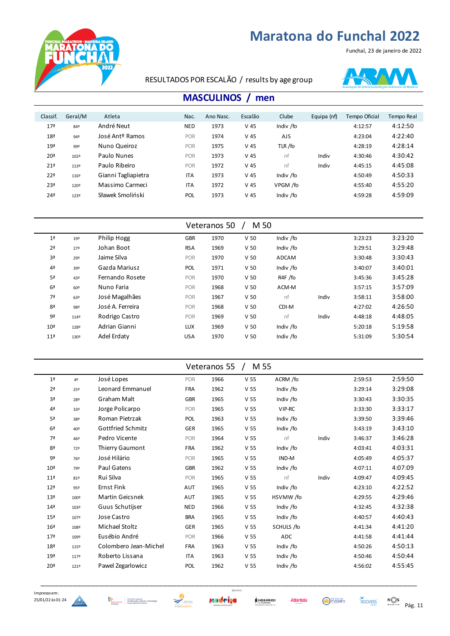Funchal, 23 de janeiro de 2022



#### RESULTADOS POR ESCALÃO / results by age group



### **MASCULINOS / men**

| Classif.        | Geral/M | Atleta              | Nac.       | Ano Nasc. | Escalão | Clube      | Equipa (nf) | Tempo Oficial | Tempo Real |
|-----------------|---------|---------------------|------------|-----------|---------|------------|-------------|---------------|------------|
| 17 <sup>a</sup> | 84º     | André Neut          | <b>NED</b> | 1973      | $V$ 45  | Indiv /fo  |             | 4:12:57       | 4:12:50    |
| 18 <sup>a</sup> | 94º     | José Antº Ramos     | <b>POR</b> | 1974      | $V$ 45  | <b>AJS</b> |             | 4:23:04       | 4:22:40    |
| 19 <sup>a</sup> | 99º     | Nuno Queiroz        | <b>POR</b> | 1975      | $V$ 45  | TLR /fo    |             | 4:28:19       | 4:28:14    |
| 20 <sup>a</sup> | 1029    | Paulo Nunes         | <b>POR</b> | 1973      | $V$ 45  | nf         | Indiv       | 4:30:46       | 4:30:42    |
| 21 <sup>a</sup> | 113º    | Paulo Ribeiro       | POR        | 1972      | $V$ 45  | nf         | Indiv       | 4:45:15       | 4:45:08    |
| 22 <sup>a</sup> | 1169    | Gianni Tagliapietra | <b>ITA</b> | 1973      | $V$ 45  | Indiv /fo  |             | 4:50:49       | 4:50:33    |
| 23 <sup>a</sup> | 120º    | Massimo Carmeci     | <b>ITA</b> | 1972      | $V$ 45  | VPGM /fo   |             | 4:55:40       | 4:55:20    |
| 24 <sup>a</sup> | 1239    | Sławek Smoliński    | <b>POL</b> | 1973      | $V$ 45  | Indiv /fo  |             | 4:59:28       | 4:59:09    |
|                 |         |                     |            |           |         |            |             |               |            |

|                 |      |                  |            | Veteranos 50 | M 50            |           |       |         |         |
|-----------------|------|------------------|------------|--------------|-----------------|-----------|-------|---------|---------|
| 1 <sup>a</sup>  | 192  | Philip Hogg      | <b>GBR</b> | 1970         | V <sub>50</sub> | Indiv /fo |       | 3:23:23 | 3:23:20 |
| 2 <sup>a</sup>  | 27°  | Johan Boot       | <b>RSA</b> | 1969         | V <sub>50</sub> | Indiv /fo |       | 3:29:51 | 3:29:48 |
| 3ª              | 29º  | Jaime Silva      | POR        | 1970         | V <sub>50</sub> | ADCAM     |       | 3:30:48 | 3:30:43 |
| 4 <sup>a</sup>  | 39º  | Gazda Mariusz    | <b>POL</b> | 1971         | V <sub>50</sub> | Indiv /fo |       | 3:40:07 | 3:40:01 |
| 5 <sup>a</sup>  | 43º  | Fernando Rosete  | POR        | 1970         | V <sub>50</sub> | R4F /fo   |       | 3:45:36 | 3:45:28 |
| 6 <sup>a</sup>  | 60º  | Nuno Faria       | POR        | 1968         | V <sub>50</sub> | ACM-M     |       | 3:57:15 | 3:57:09 |
| 7 <sup>a</sup>  | 63º  | José Magalhães   | POR        | 1967         | V <sub>50</sub> | nf        | Indiv | 3:58:11 | 3:58:00 |
| 8ª              | 98º  | José A. Ferreira | POR        | 1968         | V <sub>50</sub> | CDI-M     |       | 4:27:02 | 4:26:50 |
| 9ª              | 114º | Rodrigo Castro   | POR        | 1969         | V <sub>50</sub> | nf        | Indiv | 4:48:18 | 4:48:05 |
| 10 <sup>a</sup> | 128º | Adrian Gianni    | <b>LUX</b> | 1969         | V <sub>50</sub> | Indiv /fo |       | 5:20:18 | 5:19:58 |
| 11 <sup>a</sup> | 1309 | Adel Erdaty      | <b>USA</b> | 1970         | V <sub>50</sub> | Indiv /fo |       | 5:31:09 | 5:30:54 |

| M 55<br>Veteranos 55 |      |                          |            |      |                 |            |       |         |         |  |  |
|----------------------|------|--------------------------|------------|------|-----------------|------------|-------|---------|---------|--|--|
| 1 <sup>a</sup>       | 4º   | José Lopes               | POR        | 1966 | V <sub>55</sub> | ACRM /fo   |       | 2:59:53 | 2:59:50 |  |  |
| 2 <sup>a</sup>       | 25º  | Leonard Emmanuel         | <b>FRA</b> | 1962 | V <sub>55</sub> | Indiv /fo  |       | 3:29:14 | 3:29:08 |  |  |
| 3ª                   | 28º  | Graham Malt              | <b>GBR</b> | 1965 | V <sub>55</sub> | Indiv /fo  |       | 3:30:43 | 3:30:35 |  |  |
| 4 <sup>a</sup>       | 33º  | Jorge Policarpo          | POR        | 1965 | V <sub>55</sub> | VIP-RC     |       | 3:33:30 | 3:33:17 |  |  |
| 5ª                   | 38º  | Roman Pietrzak           | POL        | 1963 | V <sub>55</sub> | Indiv /fo  |       | 3:39:50 | 3:39:46 |  |  |
| 6 <sup>a</sup>       | 40º  | <b>Gottfried Schmitz</b> | GER        | 1965 | V <sub>55</sub> | Indiv /fo  |       | 3:43:19 | 3:43:10 |  |  |
| 7ª                   | 46º  | Pedro Vicente            | POR        | 1964 | V <sub>55</sub> | nf         | Indiv | 3:46:37 | 3:46:28 |  |  |
| 8ª                   | 72º  | Thierry Gaumont          | <b>FRA</b> | 1962 | V <sub>55</sub> | Indiv /fo  |       | 4:03:41 | 4:03:31 |  |  |
| 9ª                   | 76º  | José Hilário             | POR        | 1965 | V <sub>55</sub> | IND-M      |       | 4:05:49 | 4:05:37 |  |  |
| 10 <sup>a</sup>      | 79º  | Paul Gatens              | <b>GBR</b> | 1962 | V <sub>55</sub> | Indiv /fo  |       | 4:07:11 | 4:07:09 |  |  |
| 11 <sup>a</sup>      | 81º  | Rui Silva                | <b>POR</b> | 1965 | V <sub>55</sub> | nf         | Indiv | 4:09:47 | 4:09:45 |  |  |
| 12 <sup>a</sup>      | 95º  | <b>Ernst Fink</b>        | AUT        | 1965 | V <sub>55</sub> | Indiv /fo  |       | 4:23:10 | 4:22:52 |  |  |
| 13 <sup>a</sup>      | 100º | Martin Geicsnek          | AUT        | 1965 | V <sub>55</sub> | HSVMW /fo  |       | 4:29:55 | 4:29:46 |  |  |
| 14 <sup>a</sup>      | 103º | Guus Schutijser          | <b>NED</b> | 1966 | V <sub>55</sub> | Indiv /fo  |       | 4:32:45 | 4:32:38 |  |  |
| 15 <sup>a</sup>      | 1079 | Jose Castro              | <b>BRA</b> | 1965 | V <sub>55</sub> | Indiv /fo  |       | 4:40:57 | 4:40:43 |  |  |
| 16 <sup>a</sup>      | 1089 | Michael Stoltz           | <b>GER</b> | 1965 | V <sub>55</sub> | SCHULS /fo |       | 4:41:34 | 4:41:20 |  |  |
| 17 <sup>a</sup>      | 109º | Eusébio André            | POR        | 1966 | V <sub>55</sub> | ADC        |       | 4:41:58 | 4:41:44 |  |  |
| 18 <sup>a</sup>      | 115º | Colombero Jean-Michel    | FRA        | 1963 | V <sub>55</sub> | Indiv /fo  |       | 4:50:26 | 4:50:13 |  |  |
| 19 <sup>a</sup>      | 1179 | Roberto Lissana          | <b>ITA</b> | 1963 | V <sub>55</sub> | Indiv /fo  |       | 4:50:46 | 4:50:44 |  |  |
| 20 <sup>a</sup>      | 1219 | Pawel Zegarlowicz        | POL        | 1962 | V <sub>55</sub> | Indiv /fo  |       | 4:56:02 | 4:55:45 |  |  |
|                      |      |                          |            |      |                 |            |       |         |         |  |  |